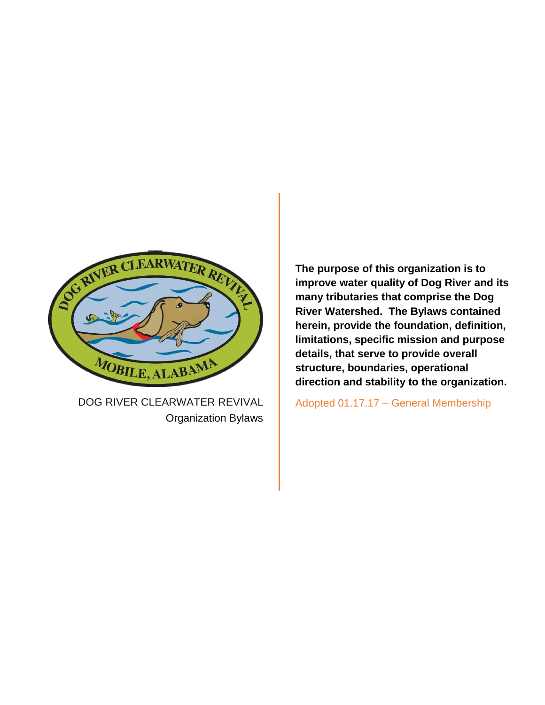

DOG RIVER CLEARWATER REVIVAL Organization Bylaws **The purpose of this organization is to improve water quality of Dog River and its many tributaries that comprise the Dog River Watershed. The Bylaws contained herein, provide the foundation, definition, limitations, specific mission and purpose details, that serve to provide overall structure, boundaries, operational direction and stability to the organization.**

Adopted 01.17.17 – General Membership Amended 01.20.22 - General Membership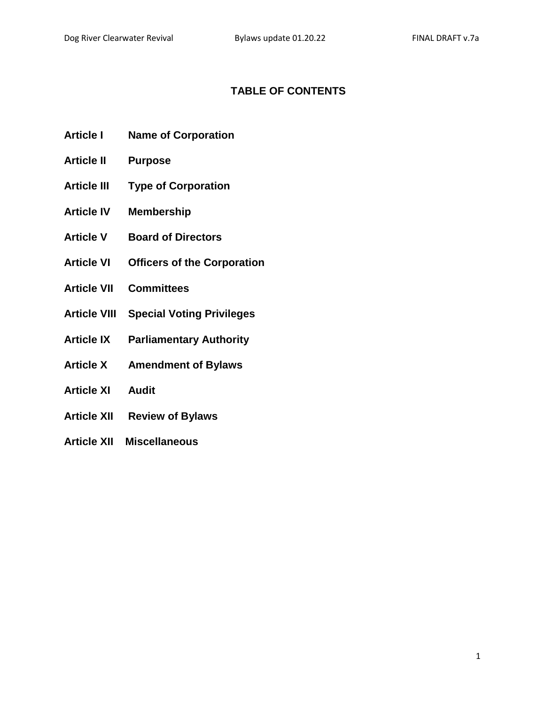# **TABLE OF CONTENTS**

- **Article I Name of Corporation**
- **Article II Purpose**
- **Article III Type of Corporation**
- **Article IV Membership**
- **Article V Board of Directors**
- **Article VI Officers of the Corporation**
- **Article VII Committees**
- **Article VIII Special Voting Privileges**
- **Article IX Parliamentary Authority**
- **Article X Amendment of Bylaws**
- **Article XI Audit**
- **Article XII Review of Bylaws**
- **Article XII Miscellaneous**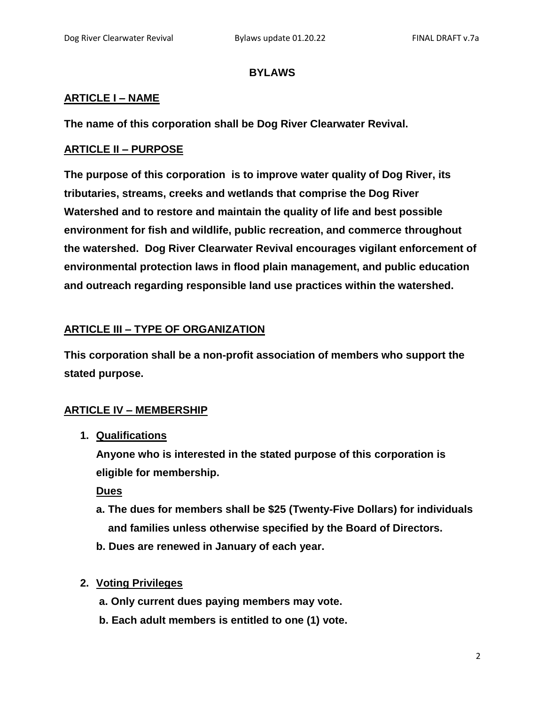#### **BYLAWS**

#### **ARTICLE I – NAME**

**The name of this corporation shall be Dog River Clearwater Revival.**

### **ARTICLE II – PURPOSE**

**The purpose of this corporation is to improve water quality of Dog River, its tributaries, streams, creeks and wetlands that comprise the Dog River Watershed and to restore and maintain the quality of life and best possible environment for fish and wildlife, public recreation, and commerce throughout the watershed. Dog River Clearwater Revival encourages vigilant enforcement of environmental protection laws in flood plain management, and public education and outreach regarding responsible land use practices within the watershed.**

# **ARTICLE III – TYPE OF ORGANIZATION**

**This corporation shall be a non-profit association of members who support the stated purpose.**

# **ARTICLE IV – MEMBERSHIP**

**1. Qualifications**

**Anyone who is interested in the stated purpose of this corporation is eligible for membership.**

**Dues**

- **a. The dues for members shall be \$25 (Twenty-Five Dollars) for individuals and families unless otherwise specified by the Board of Directors.**
- **b. Dues are renewed in January of each year.**
- **2. Voting Privileges**
	- **a. Only current dues paying members may vote.**
	- **b. Each adult members is entitled to one (1) vote.**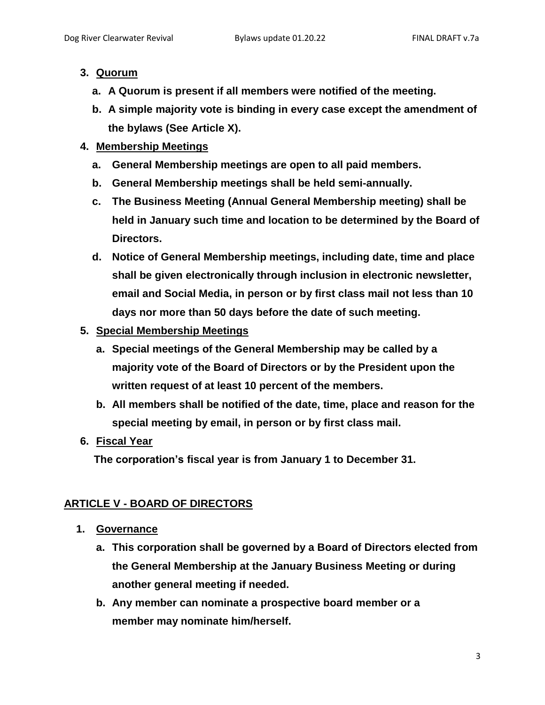## **3. Quorum**

- **a. A Quorum is present if all members were notified of the meeting.**
- **b. A simple majority vote is binding in every case except the amendment of the bylaws (See Article X).**

# **4. Membership Meetings**

- **a. General Membership meetings are open to all paid members.**
- **b. General Membership meetings shall be held semi-annually.**
- **c. The Business Meeting (Annual General Membership meeting) shall be held in January such time and location to be determined by the Board of Directors.**
- **d. Notice of General Membership meetings, including date, time and place shall be given electronically through inclusion in electronic newsletter, email and Social Media, in person or by first class mail not less than 10 days nor more than 50 days before the date of such meeting.**
- **5. Special Membership Meetings**
	- **a. Special meetings of the General Membership may be called by a majority vote of the Board of Directors or by the President upon the written request of at least 10 percent of the members.**
	- **b. All members shall be notified of the date, time, place and reason for the special meeting by email, in person or by first class mail.**
- **6. Fiscal Year**

**The corporation's fiscal year is from January 1 to December 31.**

# **ARTICLE V - BOARD OF DIRECTORS**

- **1. Governance**
	- **a. This corporation shall be governed by a Board of Directors elected from the General Membership at the January Business Meeting or during another general meeting if needed.**
	- **b. Any member can nominate a prospective board member or a member may nominate him/herself.**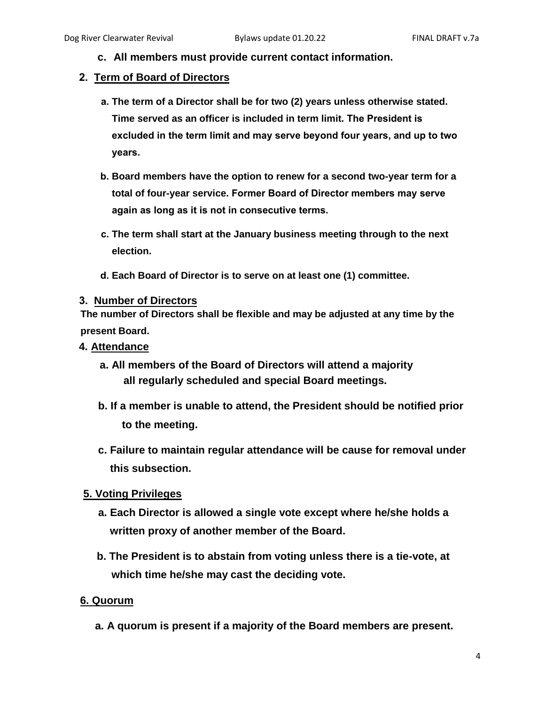**c. All members must provide current contact information.**

### **2. Term of Board of Directors**

- **a. The term of a Director shall be for two (2) years unless otherwise stated. Time served as an officer is included in term limit. The President is excluded in the term limit and may serve beyond four years, and up to two years.**
- **b. Board members have the option to renew for a second two-year term for a total of four-year service. Former Board of Director members may serve again as long as it is not in consecutive terms.**
- **c. The term shall start at the January business meeting through to the next election.**
- **d. Each Board of Director is to serve on at least one (1) committee.**

#### **3. Number of Directors**

**The number of Directors shall be flexible and may be adjusted at any time by the present Board.**

#### **4. Attendance**

- **a. All members of the Board of Directors will attend a majority all regularly scheduled and special Board meetings.**
- **b. If a member is unable to attend, the President should be notified prior to the meeting.**
- **c. Failure to maintain regular attendance will be cause for removal under this subsection.**

#### **5. Voting Privileges**

- **a. Each Director is allowed a single vote except where he/she holds a written proxy of another member of the Board.**
- **b. The President is to abstain from voting unless there is a tie-vote, at which time he/she may cast the deciding vote.**

#### **6. Quorum**

**a. A quorum is present if a majority of the Board members are present.**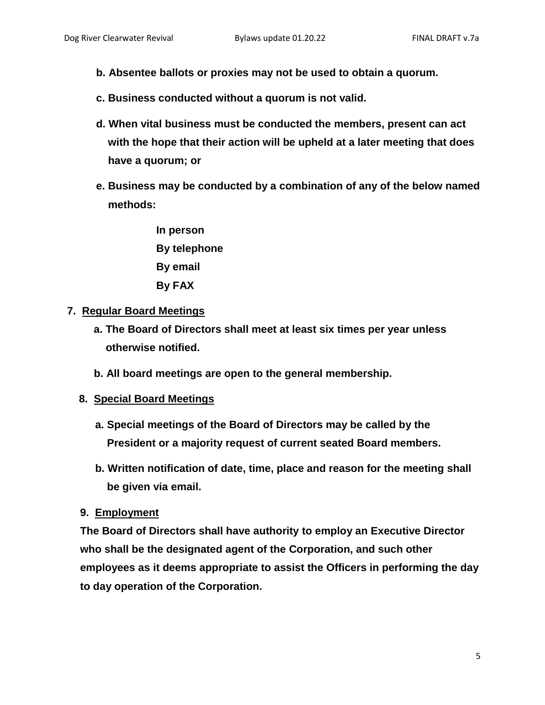- **b. Absentee ballots or proxies may not be used to obtain a quorum.**
- **c. Business conducted without a quorum is not valid.**
- **d. When vital business must be conducted the members, present can act with the hope that their action will be upheld at a later meeting that does have a quorum; or**
- **e. Business may be conducted by a combination of any of the below named methods:**
	- **In person By telephone By email By FAX**

#### **7. Regular Board Meetings**

- **a. The Board of Directors shall meet at least six times per year unless otherwise notified.**
- **b. All board meetings are open to the general membership.**

#### **8. Special Board Meetings**

- **a. Special meetings of the Board of Directors may be called by the President or a majority request of current seated Board members.**
- **b. Written notification of date, time, place and reason for the meeting shall be given via email.**

#### **9. Employment**

**The Board of Directors shall have authority to employ an Executive Director who shall be the designated agent of the Corporation, and such other employees as it deems appropriate to assist the Officers in performing the day to day operation of the Corporation.**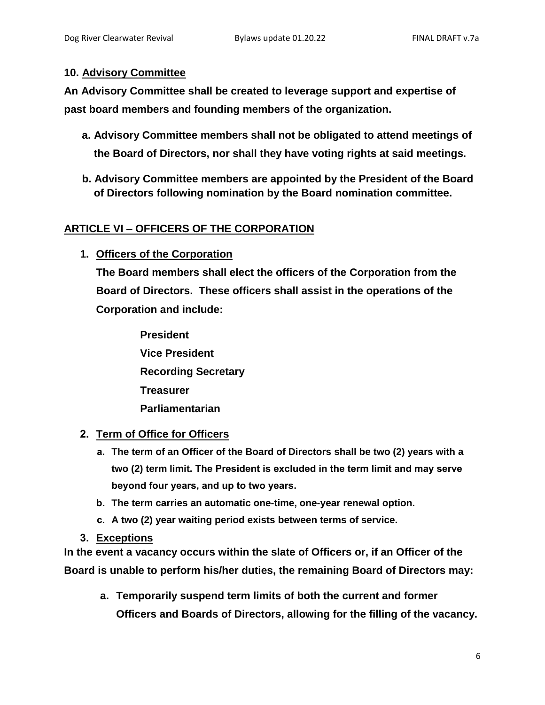#### **10. Advisory Committee**

**An Advisory Committee shall be created to leverage support and expertise of past board members and founding members of the organization.** 

- **a. Advisory Committee members shall not be obligated to attend meetings of the Board of Directors, nor shall they have voting rights at said meetings.**
- **b. Advisory Committee members are appointed by the President of the Board of Directors following nomination by the Board nomination committee.**

### **ARTICLE VI – OFFICERS OF THE CORPORATION**

**1. Officers of the Corporation**

**The Board members shall elect the officers of the Corporation from the Board of Directors. These officers shall assist in the operations of the Corporation and include:**

**President Vice President Recording Secretary Treasurer Parliamentarian**

#### **2. Term of Office for Officers**

- **a. The term of an Officer of the Board of Directors shall be two (2) years with a two (2) term limit. The President is excluded in the term limit and may serve beyond four years, and up to two years.**
- **b. The term carries an automatic one-time, one-year renewal option.**
- **c. A two (2) year waiting period exists between terms of service.**
- **3. Exceptions**

**In the event a vacancy occurs within the slate of Officers or, if an Officer of the Board is unable to perform his/her duties, the remaining Board of Directors may:**

**a. Temporarily suspend term limits of both the current and former Officers and Boards of Directors, allowing for the filling of the vacancy.**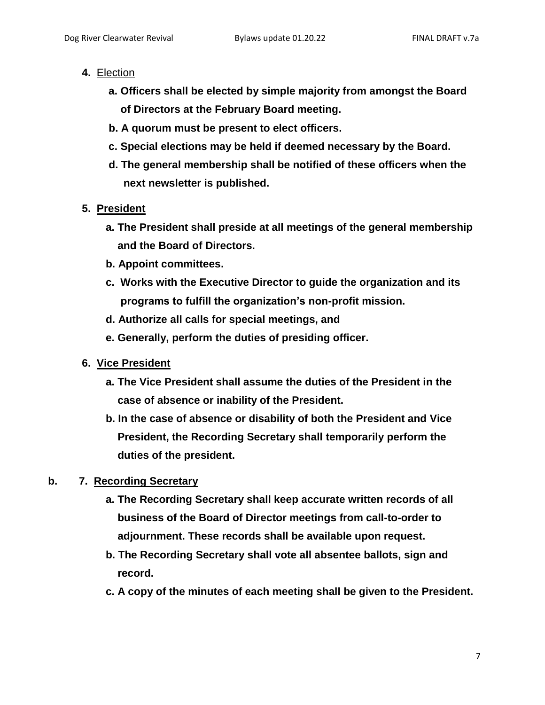- **4.** Election
	- **a. Officers shall be elected by simple majority from amongst the Board of Directors at the February Board meeting.**
	- **b. A quorum must be present to elect officers.**
	- **c. Special elections may be held if deemed necessary by the Board.**
	- **d. The general membership shall be notified of these officers when the next newsletter is published.**
- **5. President**
	- **a. The President shall preside at all meetings of the general membership and the Board of Directors.**
	- **b. Appoint committees.**
	- **c. Works with the Executive Director to guide the organization and its programs to fulfill the organization's non-profit mission.**
	- **d. Authorize all calls for special meetings, and**
	- **e. Generally, perform the duties of presiding officer.**
- **6. Vice President**
	- **a. The Vice President shall assume the duties of the President in the case of absence or inability of the President.**
	- **b. In the case of absence or disability of both the President and Vice President, the Recording Secretary shall temporarily perform the duties of the president.**

# **b. 7. Recording Secretary**

- **a. The Recording Secretary shall keep accurate written records of all business of the Board of Director meetings from call-to-order to adjournment. These records shall be available upon request.**
- **b. The Recording Secretary shall vote all absentee ballots, sign and record.**
- **c. A copy of the minutes of each meeting shall be given to the President.**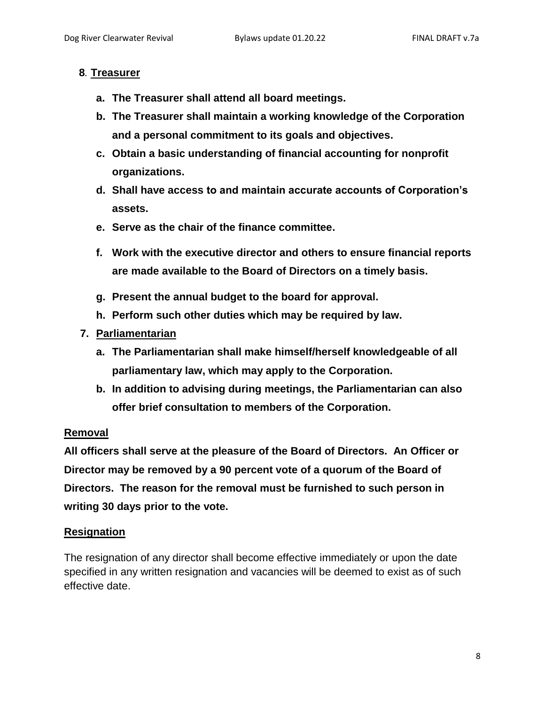#### **8***.* **Treasurer**

- **a. The Treasurer shall attend all board meetings.**
- **b. The Treasurer shall maintain a working knowledge of the Corporation and a personal commitment to its goals and objectives.**
- **c. Obtain a basic understanding of financial accounting for nonprofit organizations.**
- **d. Shall have access to and maintain accurate accounts of Corporation's assets.**
- **e. Serve as the chair of the finance committee.**
- **f. Work with the executive director and others to ensure financial reports are made available to the Board of Directors on a timely basis.**
- **g. Present the annual budget to the board for approval.**
- **h. Perform such other duties which may be required by law.**
- **7. Parliamentarian**
	- **a. The Parliamentarian shall make himself/herself knowledgeable of all parliamentary law, which may apply to the Corporation.**
	- **b. In addition to advising during meetings, the Parliamentarian can also offer brief consultation to members of the Corporation.**

# **Removal**

**All officers shall serve at the pleasure of the Board of Directors. An Officer or Director may be removed by a 90 percent vote of a quorum of the Board of Directors. The reason for the removal must be furnished to such person in writing 30 days prior to the vote.**

# **Resignation**

The resignation of any director shall become effective immediately or upon the date specified in any written resignation and vacancies will be deemed to exist as of such effective date.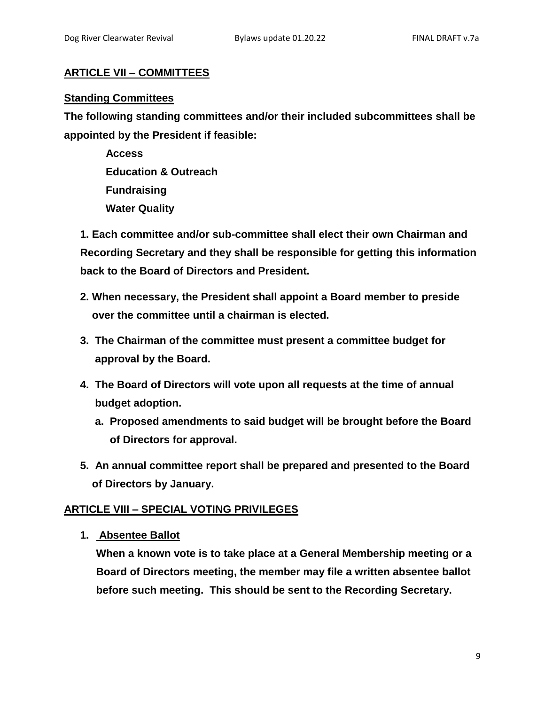# **ARTICLE VII – COMMITTEES**

#### **Standing Committees**

**The following standing committees and/or their included subcommittees shall be appointed by the President if feasible:**

> **Access Education & Outreach Fundraising Water Quality**

**1. Each committee and/or sub-committee shall elect their own Chairman and Recording Secretary and they shall be responsible for getting this information back to the Board of Directors and President.**

- **2. When necessary, the President shall appoint a Board member to preside over the committee until a chairman is elected.**
- **3. The Chairman of the committee must present a committee budget for approval by the Board.**
- **4. The Board of Directors will vote upon all requests at the time of annual budget adoption.**
	- **a. Proposed amendments to said budget will be brought before the Board of Directors for approval.**
- **5. An annual committee report shall be prepared and presented to the Board of Directors by January.**

# **ARTICLE VIII – SPECIAL VOTING PRIVILEGES**

**1. Absentee Ballot**

**When a known vote is to take place at a General Membership meeting or a Board of Directors meeting, the member may file a written absentee ballot before such meeting. This should be sent to the Recording Secretary.**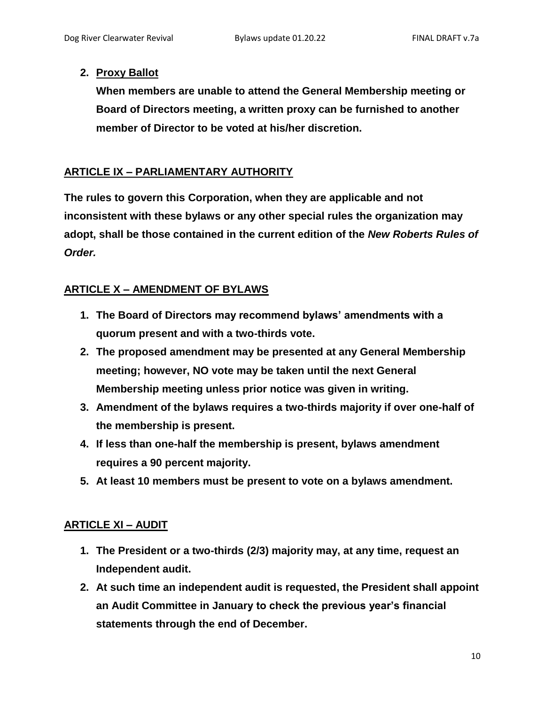### **2. Proxy Ballot**

**When members are unable to attend the General Membership meeting or Board of Directors meeting, a written proxy can be furnished to another member of Director to be voted at his/her discretion.**

# **ARTICLE IX – PARLIAMENTARY AUTHORITY**

**The rules to govern this Corporation, when they are applicable and not inconsistent with these bylaws or any other special rules the organization may adopt, shall be those contained in the current edition of the** *New Roberts Rules of Order.*

# **ARTICLE X – AMENDMENT OF BYLAWS**

- **1. The Board of Directors may recommend bylaws' amendments with a quorum present and with a two-thirds vote.**
- **2. The proposed amendment may be presented at any General Membership meeting; however, NO vote may be taken until the next General Membership meeting unless prior notice was given in writing.**
- **3. Amendment of the bylaws requires a two-thirds majority if over one-half of the membership is present.**
- **4. If less than one-half the membership is present, bylaws amendment requires a 90 percent majority.**
- **5. At least 10 members must be present to vote on a bylaws amendment.**

# **ARTICLE XI – AUDIT**

- **1. The President or a two-thirds (2/3) majority may, at any time, request an Independent audit.**
- **2. At such time an independent audit is requested, the President shall appoint an Audit Committee in January to check the previous year's financial statements through the end of December.**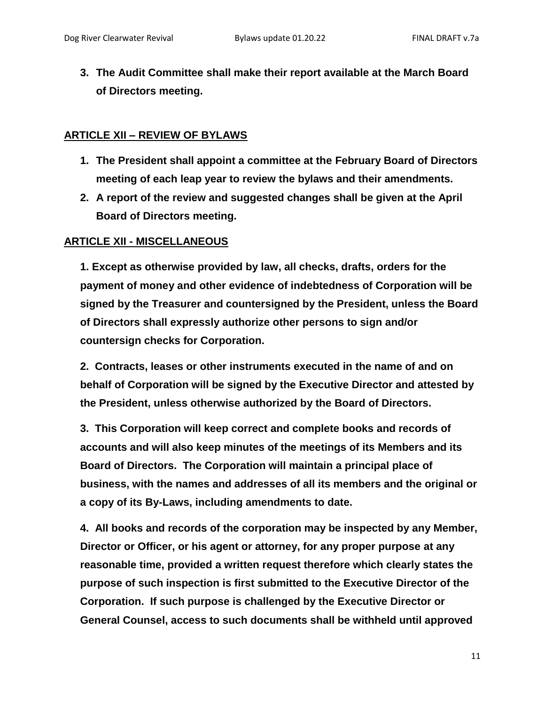**3. The Audit Committee shall make their report available at the March Board of Directors meeting.**

### **ARTICLE XII – REVIEW OF BYLAWS**

- **1. The President shall appoint a committee at the February Board of Directors meeting of each leap year to review the bylaws and their amendments.**
- **2. A report of the review and suggested changes shall be given at the April Board of Directors meeting.**

### **ARTICLE XII - MISCELLANEOUS**

**1. Except as otherwise provided by law, all checks, drafts, orders for the payment of money and other evidence of indebtedness of Corporation will be signed by the Treasurer and countersigned by the President, unless the Board of Directors shall expressly authorize other persons to sign and/or countersign checks for Corporation.** 

**2. Contracts, leases or other instruments executed in the name of and on behalf of Corporation will be signed by the Executive Director and attested by the President, unless otherwise authorized by the Board of Directors.**

**3. This Corporation will keep correct and complete books and records of accounts and will also keep minutes of the meetings of its Members and its Board of Directors. The Corporation will maintain a principal place of business, with the names and addresses of all its members and the original or a copy of its By-Laws, including amendments to date.**

**4. All books and records of the corporation may be inspected by any Member, Director or Officer, or his agent or attorney, for any proper purpose at any reasonable time, provided a written request therefore which clearly states the purpose of such inspection is first submitted to the Executive Director of the Corporation. If such purpose is challenged by the Executive Director or General Counsel, access to such documents shall be withheld until approved**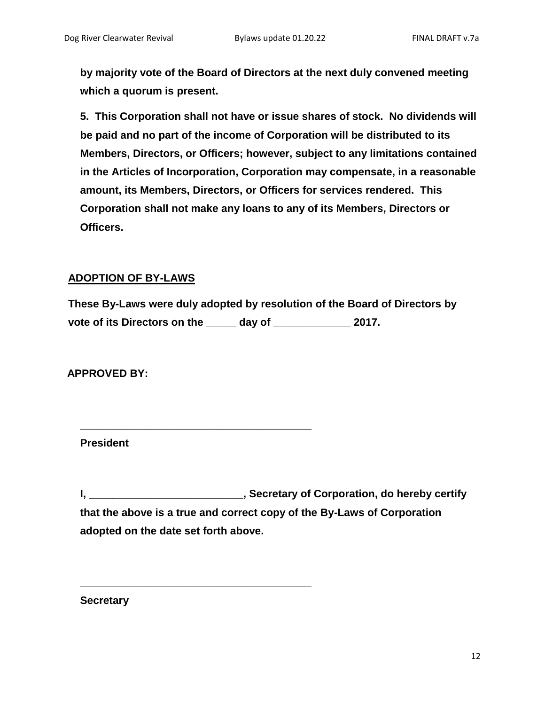**by majority vote of the Board of Directors at the next duly convened meeting which a quorum is present.**

**5. This Corporation shall not have or issue shares of stock. No dividends will be paid and no part of the income of Corporation will be distributed to its Members, Directors, or Officers; however, subject to any limitations contained in the Articles of Incorporation, Corporation may compensate, in a reasonable amount, its Members, Directors, or Officers for services rendered. This Corporation shall not make any loans to any of its Members, Directors or Officers.**

#### **ADOPTION OF BY-LAWS**

**These By-Laws were duly adopted by resolution of the Board of Directors by vote of its Directors on the \_\_\_\_\_ day of \_\_\_\_\_\_\_\_\_\_\_\_\_ 2017.**

**\_\_\_\_\_\_\_\_\_\_\_\_\_\_\_\_\_\_\_\_\_\_\_\_\_\_\_\_\_\_\_\_\_\_\_\_\_\_\_**

**\_\_\_\_\_\_\_\_\_\_\_\_\_\_\_\_\_\_\_\_\_\_\_\_\_\_\_\_\_\_\_\_\_\_\_\_\_\_\_**

**APPROVED BY:**

**President**

**I, \_\_\_\_\_\_\_\_\_\_\_\_\_\_\_\_\_\_\_\_\_\_\_\_\_\_, Secretary of Corporation, do hereby certify that the above is a true and correct copy of the By-Laws of Corporation adopted on the date set forth above.**

**Secretary**